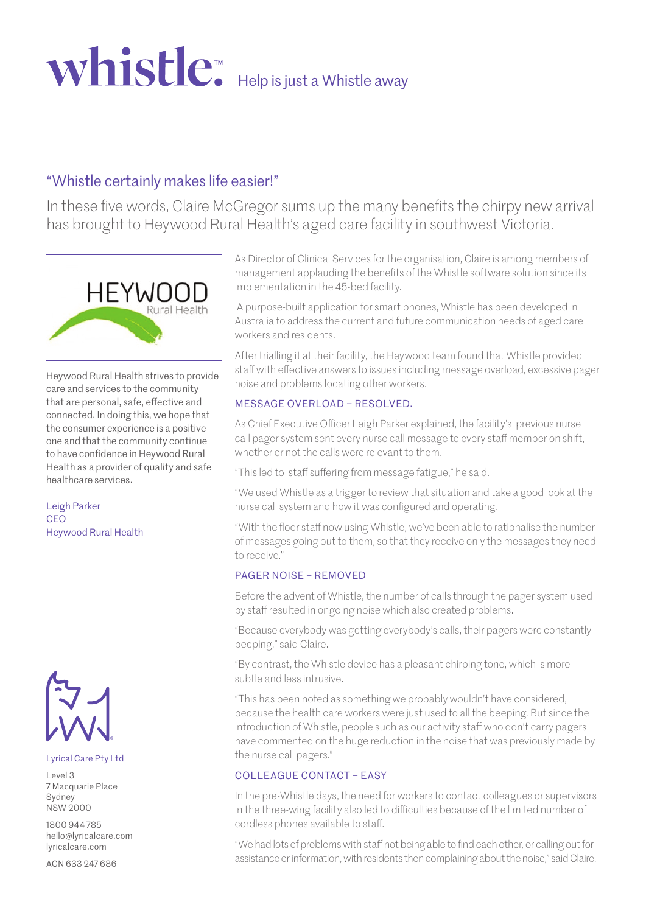# Whistle<sup>™</sup> Help is just a Whistle away

## "Whistle certainly makes life easier!"

In these five words, Claire McGregor sums up the many benefits the chirpy new arrival has brought to Heywood Rural Health's aged care facility in southwest Victoria.



Heywood Rural Health strives to provide care and services to the community that are personal, safe, effective and connected. In doing this, we hope that the consumer experience is a positive one and that the community continue to have confidence in Heywood Rural Health as a provider of quality and safe healthcare services.

Leigh Parker **CEO** Heywood Rural Health



#### Lyrical Care Pty Ltd

Level 3 7 Macquarie Place Sydney NSW 2000

1800 944 785 hello@lyricalcare.com lyricalcare.com

ACN 633 247 686

As Director of Clinical Services for the organisation, Claire is among members of management applauding the benefits of the Whistle software solution since its implementation in the 45-bed facility.

 A purpose-built application for smart phones, Whistle has been developed in Australia to address the current and future communication needs of aged care workers and residents.

After trialling it at their facility, the Heywood team found that Whistle provided staff with effective answers to issues including message overload, excessive pager noise and problems locating other workers.

### MESSAGE OVERLOAD – RESOLVED.

As Chief Executive Officer Leigh Parker explained, the facility's previous nurse call pager system sent every nurse call message to every staff member on shift, whether or not the calls were relevant to them.

"This led to staff suffering from message fatigue," he said.

"We used Whistle as a trigger to review that situation and take a good look at the nurse call system and how it was configured and operating.

"With the floor staff now using Whistle, we've been able to rationalise the number of messages going out to them, so that they receive only the messages they need to receive."

### PAGER NOISE – REMOVED

Before the advent of Whistle, the number of calls through the pager system used by staff resulted in ongoing noise which also created problems.

"Because everybody was getting everybody's calls, their pagers were constantly beeping," said Claire.

"By contrast, the Whistle device has a pleasant chirping tone, which is more subtle and less intrusive.

"This has been noted as something we probably wouldn't have considered, because the health care workers were just used to all the beeping. But since the introduction of Whistle, people such as our activity staff who don't carry pagers have commented on the huge reduction in the noise that was previously made by the nurse call pagers."

### COLLEAGUE CONTACT – FASY

In the pre-Whistle days, the need for workers to contact colleagues or supervisors in the three-wing facility also led to difficulties because of the limited number of cordless phones available to staff.

"We had lots of problems with staff not being able to find each other, or calling out for assistance or information, with residents then complaining about the noise," said Claire.